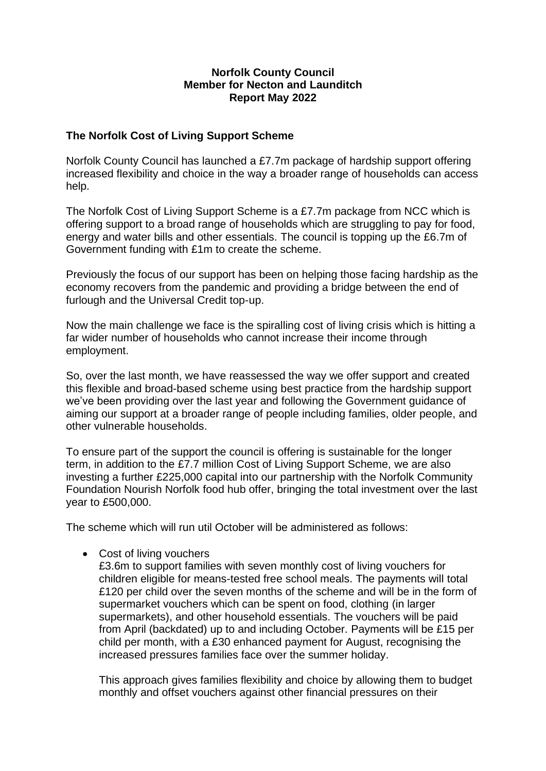## **Norfolk County Council Member for Necton and Launditch Report May 2022**

## **The Norfolk Cost of Living Support Scheme**

Norfolk County Council has launched a £7.7m package of hardship support offering increased flexibility and choice in the way a broader range of households can access help.

The Norfolk Cost of Living Support Scheme is a £7.7m package from NCC which is offering support to a broad range of households which are struggling to pay for food, energy and water bills and other essentials. The council is topping up the £6.7m of Government funding with £1m to create the scheme.

Previously the focus of our support has been on helping those facing hardship as the economy recovers from the pandemic and providing a bridge between the end of furlough and the Universal Credit top-up.

Now the main challenge we face is the spiralling cost of living crisis which is hitting a far wider number of households who cannot increase their income through employment.

So, over the last month, we have reassessed the way we offer support and created this flexible and broad-based scheme using best practice from the hardship support we've been providing over the last year and following the Government guidance of aiming our support at a broader range of people including families, older people, and other vulnerable households.

To ensure part of the support the council is offering is sustainable for the longer term, in addition to the £7.7 million Cost of Living Support Scheme, we are also investing a further £225,000 capital into our partnership with the Norfolk Community Foundation Nourish Norfolk food hub offer, bringing the total investment over the last year to £500,000.

The scheme which will run util October will be administered as follows:

• Cost of living vouchers

£3.6m to support families with seven monthly cost of living vouchers for children eligible for means-tested free school meals. The payments will total £120 per child over the seven months of the scheme and will be in the form of supermarket vouchers which can be spent on food, clothing (in larger supermarkets), and other household essentials. The vouchers will be paid from April (backdated) up to and including October. Payments will be £15 per child per month, with a £30 enhanced payment for August, recognising the increased pressures families face over the summer holiday.

This approach gives families flexibility and choice by allowing them to budget monthly and offset vouchers against other financial pressures on their